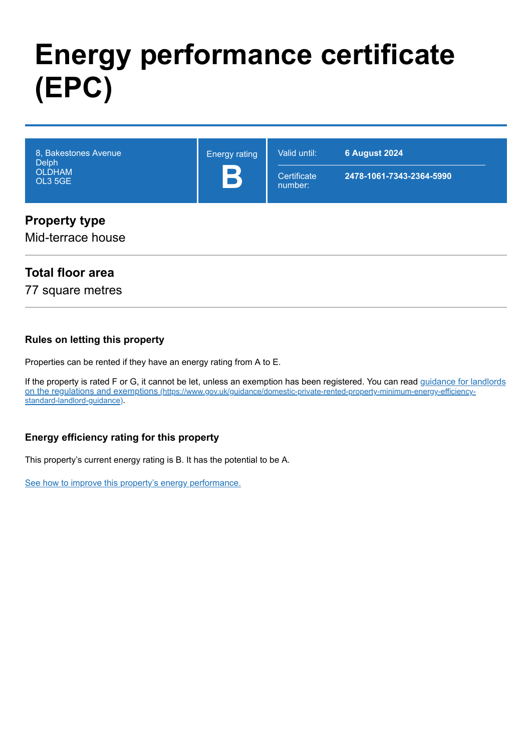# **Energy performance certificate (EPC)**

| 8, Bakestones Avenue<br><b>Delph</b><br><b>OLDHAM</b><br>OL3 5GE                                               | <b>Energy rating</b><br>$\mathbf{P}$ | Valid until:<br>Certificate<br>number: | <b>6 August 2024</b><br>2478-1061-7343-2364-5990 |
|----------------------------------------------------------------------------------------------------------------|--------------------------------------|----------------------------------------|--------------------------------------------------|
| Proposition of the contract of the contract of the contract of the contract of the contract of the contract of |                                      |                                        |                                                  |

# **Property type**

Mid-terrace house

# **Total floor area**

77 square metres

#### **Rules on letting this property**

Properties can be rented if they have an energy rating from A to E.

[If the property is rated F or G, it cannot be let, unless an exemption has been registered. You can read guidance for landlords](https://www.gov.uk/guidance/domestic-private-rented-property-minimum-energy-efficiency-standard-landlord-guidance) on the regulations and exemptions (https://www.gov.uk/guidance/domestic-private-rented-property-minimum-energy-efficiencystandard-landlord-guidance).

#### **Energy efficiency rating for this property**

This property's current energy rating is B. It has the potential to be A.

[See how to improve this property's energy performance.](#page-3-0)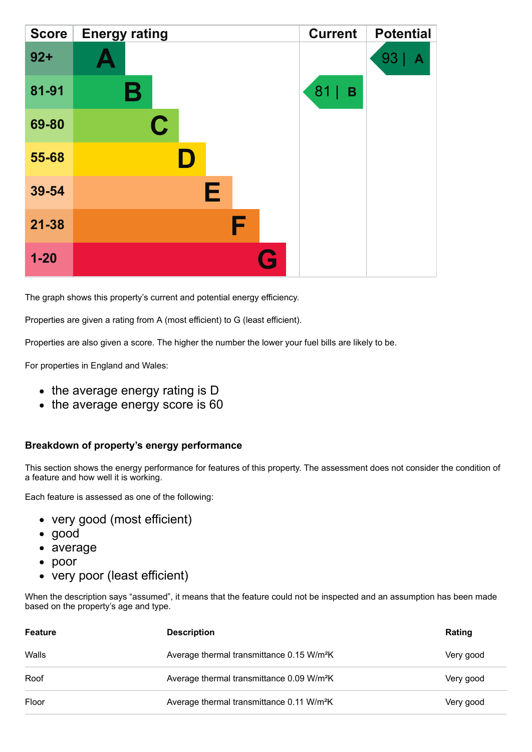| <b>Score</b> | <b>Energy rating</b> | <b>Current</b> | <b>Potential</b> |
|--------------|----------------------|----------------|------------------|
| $92 +$       |                      |                | 93<br>A          |
| 81-91        | Β                    | 81<br>B        |                  |
| 69-80        | $\mathbf C$          |                |                  |
| 55-68        | D                    |                |                  |
| 39-54        | Е                    |                |                  |
| $21 - 38$    | F                    |                |                  |
| $1 - 20$     | G                    |                |                  |

The graph shows this property's current and potential energy efficiency.

Properties are given a rating from A (most efficient) to G (least efficient).

Properties are also given a score. The higher the number the lower your fuel bills are likely to be.

For properties in England and Wales:

- the average energy rating is D
- the average energy score is 60

#### **Breakdown of property's energy performance**

This section shows the energy performance for features of this property. The assessment does not consider the condition of a feature and how well it is working.

Each feature is assessed as one of the following:

- very good (most efficient)
- good
- average
- poor
- very poor (least efficient)

When the description says "assumed", it means that the feature could not be inspected and an assumption has been made based on the property's age and type.

| Feature | <b>Description</b>                                    | <b>Rating</b> |
|---------|-------------------------------------------------------|---------------|
| Walls   | Average thermal transmittance 0.15 W/m <sup>2</sup> K | Very good     |
| Roof    | Average thermal transmittance 0.09 W/m <sup>2</sup> K | Very good     |
| Floor   | Average thermal transmittance 0.11 W/m <sup>2</sup> K | Very good     |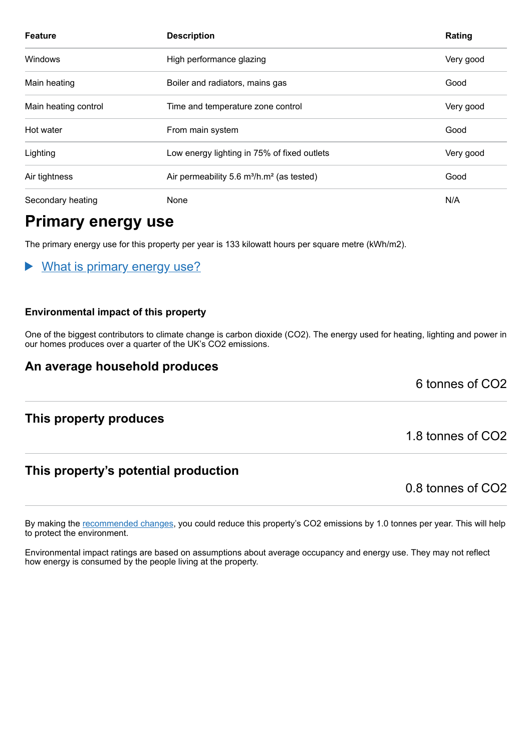| <b>Feature</b>       | <b>Description</b>                                                | Rating    |
|----------------------|-------------------------------------------------------------------|-----------|
| Windows              | High performance glazing                                          | Very good |
| Main heating         | Boiler and radiators, mains gas                                   | Good      |
| Main heating control | Time and temperature zone control                                 | Very good |
| Hot water            | From main system                                                  | Good      |
| Lighting             | Low energy lighting in 75% of fixed outlets                       | Very good |
| Air tightness        | Air permeability 5.6 m <sup>3</sup> /h.m <sup>2</sup> (as tested) | Good      |
| Secondary heating    | None                                                              | N/A       |

# **Primary energy use**

The primary energy use for this property per year is 133 kilowatt hours per square metre (kWh/m2).

#### What is primary energy use?

#### **Environmental impact of this property**

One of the biggest contributors to climate change is carbon dioxide (CO2). The energy used for heating, lighting and power in our homes produces over a quarter of the UK's CO2 emissions.

#### **An average household produces**

6 tonnes of CO2

#### **This property produces**

#### **This property's potential production**

0.8 tonnes of CO2

1.8 tonnes of CO2

By making the [recommended changes,](#page-3-0) you could reduce this property's CO2 emissions by 1.0 tonnes per year. This will help to protect the environment.

Environmental impact ratings are based on assumptions about average occupancy and energy use. They may not reflect how energy is consumed by the people living at the property.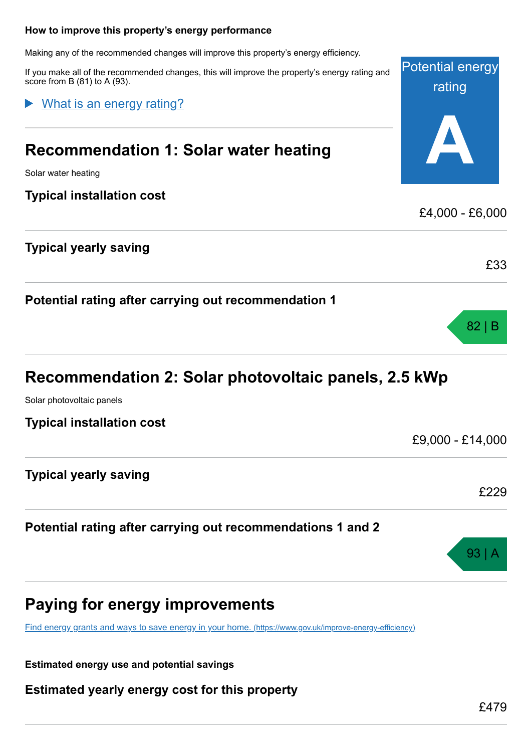# <span id="page-3-0"></span>Potential energy rating **A How to improve this property's energy performance** Making any of the recommended changes will improve this property's energy efficiency. If you make all of the recommended changes, this will improve the property's energy rating and score from B (81) to A (93). **Recommendation 1: Solar water heating** Solar water heating **Typical installation cost** £4,000 - £6,000 **Typical yearly saving** £33 What is an energy rating?

| Recommendation 2: Solar photovoltaic panels, 2.5 kWp |
|------------------------------------------------------|
|                                                      |

Solar photovoltaic panels

**Typical installation cost**

**Typical yearly saving**

**Potential rating after carrying out recommendations 1 and 2**

**Potential rating after carrying out recommendation 1**

# **Paying for energy improvements**

[Find energy grants and ways to save energy in your home.](https://www.gov.uk/improve-energy-efficiency) (https://www.gov.uk/improve-energy-efficiency)

**Estimated energy use and potential savings**

**Estimated yearly energy cost for this property**

82 | B

£229

93 | A

£9,000 - £14,000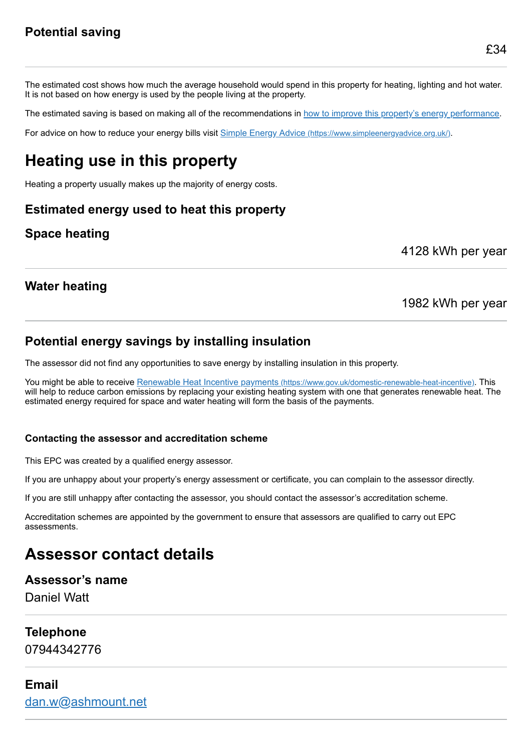The estimated cost shows how much the average household would spend in this property for heating, lighting and hot water. It is not based on how energy is used by the people living at the property.

The estimated saving is based on making all of the recommendations in [how to improve this property's energy performance.](#page-3-0)

For advice on how to reduce your energy bills visit Simple Energy Advice [\(https://www.simpleenergyadvice.org.uk/\)](https://www.simpleenergyadvice.org.uk/).

# **Heating use in this property**

Heating a property usually makes up the majority of energy costs.

# **Estimated energy used to heat this property**

# **Space heating**

4128 kWh per year

## **Water heating**

### 1982 kWh per year

## **Potential energy savings by installing insulation**

The assessor did not find any opportunities to save energy by installing insulation in this property.

You might be able to receive Renewable Heat Incentive payments [\(https://www.gov.uk/domestic-renewable-heat-incentive\)](https://www.gov.uk/domestic-renewable-heat-incentive). This will help to reduce carbon emissions by replacing your existing heating system with one that generates renewable heat. The estimated energy required for space and water heating will form the basis of the payments.

#### **Contacting the assessor and accreditation scheme**

This EPC was created by a qualified energy assessor.

If you are unhappy about your property's energy assessment or certificate, you can complain to the assessor directly.

If you are still unhappy after contacting the assessor, you should contact the assessor's accreditation scheme.

Accreditation schemes are appointed by the government to ensure that assessors are qualified to carry out EPC assessments.

# **Assessor contact details**

#### **Assessor's name**

Daniel Watt

#### **Telephone**

07944342776

#### **Email**

[dan.w@ashmount.net](mailto:dan.w@ashmount.net)